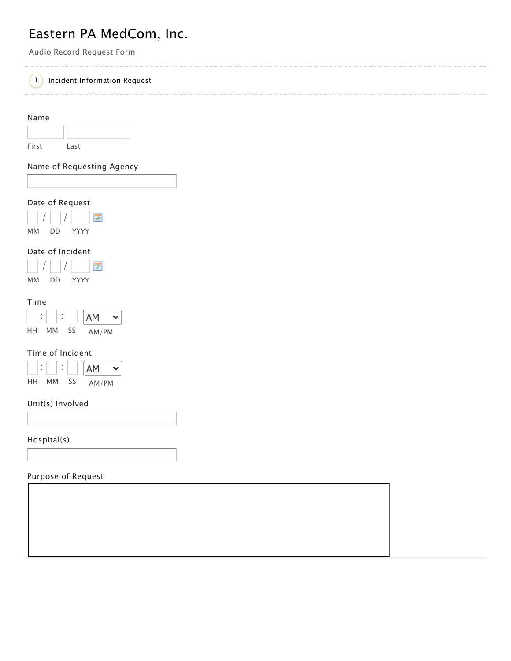# Eastern PA MedCom, Inc.

Audio Record Request Form

# 1 Incident Information Request

Name

| .     |      |  |
|-------|------|--|
|       |      |  |
|       |      |  |
| First | Last |  |
|       |      |  |

Name of Requesting Agency

### Date of Request



# Date of Incident



### Time

| ٠  |    | ٠<br>٠ | AM    |  |
|----|----|--------|-------|--|
| нн | MМ |        | AM/PM |  |

### Time of Incident

|    | ٠<br>٠ | AM    |  |
|----|--------|-------|--|
| нн | МM     | AM/PM |  |

### Unit(s) Involved

Hospital(s)

### Purpose of Request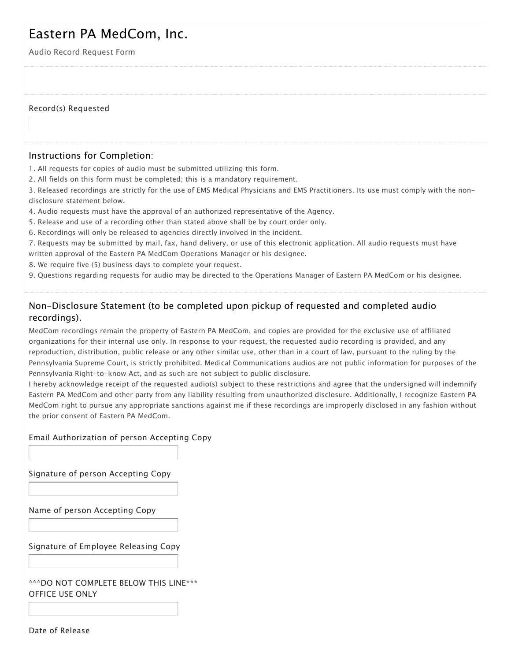# Eastern PA MedCom, Inc.

Audio Record Request Form

#### Record(s) Requested

### Instructions for Completion:

1. All requests for copies of audio must be submitted utilizing this form.

2. All fields on this form must be completed; this is a mandatory requirement.

3. Released recordings are strictly for the use of EMS Medical Physicians and EMS Practitioners. Its use must comply with the nondisclosure statement below.

4. Audio requests must have the approval of an authorized representative of the Agency.

5. Release and use of a recording other than stated above shall be by court order only.

6. Recordings will only be released to agencies directly involved in the incident.

7. Requests may be submitted by mail, fax, hand delivery, or use of this electronic application. All audio requests must have written approval of the Eastern PA MedCom Operations Manager or his designee.

- 8. We require five (5) business days to complete your request.
- 9. Questions regarding requests for audio may be directed to the Operations Manager of Eastern PA MedCom or his designee.

# Non-Disclosure Statement (to be completed upon pickup of requested and completed audio recordings).

MedCom recordings remain the property of Eastern PA MedCom, and copies are provided for the exclusive use of affiliated organizations for their internal use only. In response to your request, the requested audio recording is provided, and any reproduction, distribution, public release or any other similar use, other than in a court of law, pursuant to the ruling by the Pennsylvania Supreme Court, is strictly prohibited. Medical Communications audios are not public information for purposes of the Pennsylvania Right-to-know Act, and as such are not subject to public disclosure.

I hereby acknowledge receipt of the requested audio(s) subject to these restrictions and agree that the undersigned will indemnify Eastern PA MedCom and other party from any liability resulting from unauthorized disclosure. Additionally, I recognize Eastern PA MedCom right to pursue any appropriate sanctions against me if these recordings are improperly disclosed in any fashion without the prior consent of Eastern PA MedCom.

### Email Authorization of person Accepting Copy

Signature of person Accepting Copy

Name of person Accepting Copy

Signature of Employee Releasing Copy

\*\*\*DO NOT COMPLETE BELOW THIS LINE\*\*\* OFFICE USE ONLY